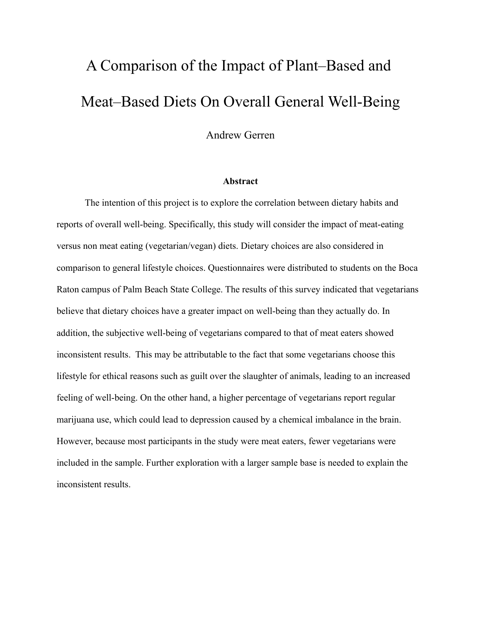# A Comparison of the Impact of Plant–Based and Meat–Based Diets On Overall General Well-Being

Andrew Gerren

## **Abstract**

The intention of this project is to explore the correlation between dietary habits and reports of overall well-being. Specifically, this study will consider the impact of meat-eating versus non meat eating (vegetarian/vegan) diets. Dietary choices are also considered in comparison to general lifestyle choices. Questionnaires were distributed to students on the Boca Raton campus of Palm Beach State College. The results of this survey indicated that vegetarians believe that dietary choices have a greater impact on well-being than they actually do. In addition, the subjective well-being of vegetarians compared to that of meat eaters showed inconsistent results. This may be attributable to the fact that some vegetarians choose this lifestyle for ethical reasons such as guilt over the slaughter of animals, leading to an increased feeling of well-being. On the other hand, a higher percentage of vegetarians report regular marijuana use, which could lead to depression caused by a chemical imbalance in the brain. However, because most participants in the study were meat eaters, fewer vegetarians were included in the sample. Further exploration with a larger sample base is needed to explain the inconsistent results.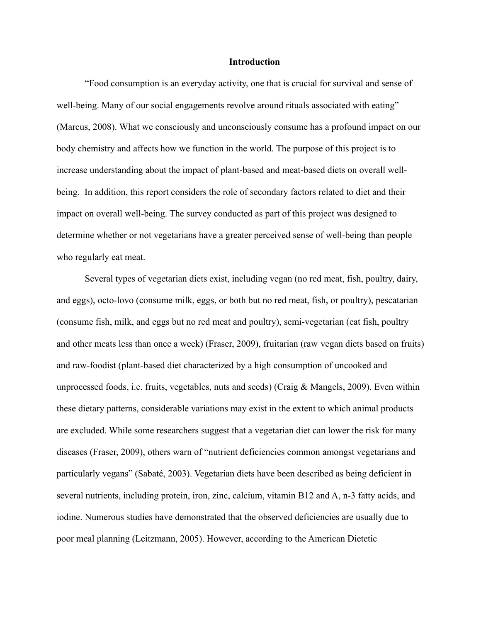#### **Introduction**

"Food consumption is an everyday activity, one that is crucial for survival and sense of well-being. Many of our social engagements revolve around rituals associated with eating" (Marcus, 2008). What we consciously and unconsciously consume has a profound impact on our body chemistry and affects how we function in the world. The purpose of this project is to increase understanding about the impact of plant-based and meat-based diets on overall wellbeing. In addition, this report considers the role of secondary factors related to diet and their impact on overall well-being. The survey conducted as part of this project was designed to determine whether or not vegetarians have a greater perceived sense of well-being than people who regularly eat meat.

Several types of vegetarian diets exist, including vegan (no red meat, fish, poultry, dairy, and eggs), octo-lovo (consume milk, eggs, or both but no red meat, fish, or poultry), pescatarian (consume fish, milk, and eggs but no red meat and poultry), semi-vegetarian (eat fish, poultry and other meats less than once a week) (Fraser, 2009), fruitarian (raw vegan diets based on fruits) and raw-foodist (plant-based diet characterized by a high consumption of uncooked and unprocessed foods, i.e. fruits, vegetables, nuts and seeds) (Craig & Mangels, 2009). Even within these dietary patterns, considerable variations may exist in the extent to which animal products are excluded. While some researchers suggest that a vegetarian diet can lower the risk for many diseases (Fraser, 2009), others warn of "nutrient deficiencies common amongst vegetarians and particularly vegans" (Sabaté, 2003). Vegetarian diets have been described as being deficient in several nutrients, including protein, iron, zinc, calcium, vitamin B12 and A, n-3 fatty acids, and iodine. Numerous studies have demonstrated that the observed deficiencies are usually due to poor meal planning (Leitzmann, 2005). However, according to the American Dietetic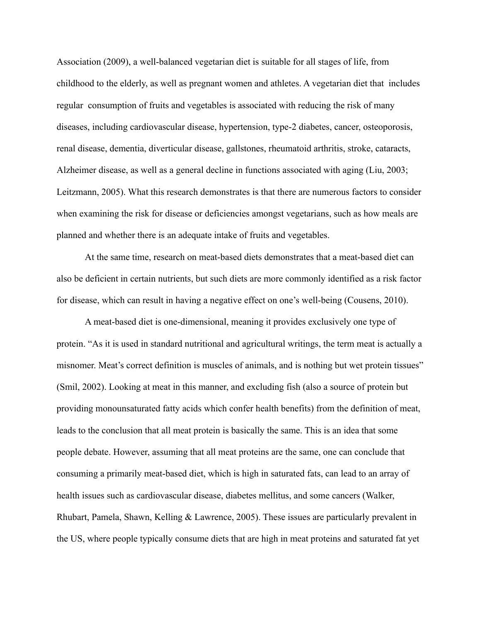Association (2009), a well-balanced vegetarian diet is suitable for all stages of life, from childhood to the elderly, as well as pregnant women and athletes. A vegetarian diet that includes regular consumption of fruits and vegetables is associated with reducing the risk of many diseases, including cardiovascular disease, hypertension, type-2 diabetes, cancer, osteoporosis, renal disease, dementia, diverticular disease, gallstones, rheumatoid arthritis, stroke, cataracts, Alzheimer disease, as well as a general decline in functions associated with aging (Liu, 2003; Leitzmann, 2005). What this research demonstrates is that there are numerous factors to consider when examining the risk for disease or deficiencies amongst vegetarians, such as how meals are planned and whether there is an adequate intake of fruits and vegetables.

At the same time, research on meat-based diets demonstrates that a meat-based diet can also be deficient in certain nutrients, but such diets are more commonly identified as a risk factor for disease, which can result in having a negative effect on one's well-being (Cousens, 2010).

A meat-based diet is one-dimensional, meaning it provides exclusively one type of protein. "As it is used in standard nutritional and agricultural writings, the term meat is actually a misnomer. Meat's correct definition is muscles of animals, and is nothing but wet protein tissues" (Smil, 2002). Looking at meat in this manner, and excluding fish (also a source of protein but providing monounsaturated fatty acids which confer health benefits) from the definition of meat, leads to the conclusion that all meat protein is basically the same. This is an idea that some people debate. However, assuming that all meat proteins are the same, one can conclude that consuming a primarily meat-based diet, which is high in saturated fats, can lead to an array of health issues such as cardiovascular disease, diabetes mellitus, and some cancers (Walker, Rhubart, Pamela, Shawn, Kelling & Lawrence, 2005). These issues are particularly prevalent in the US, where people typically consume diets that are high in meat proteins and saturated fat yet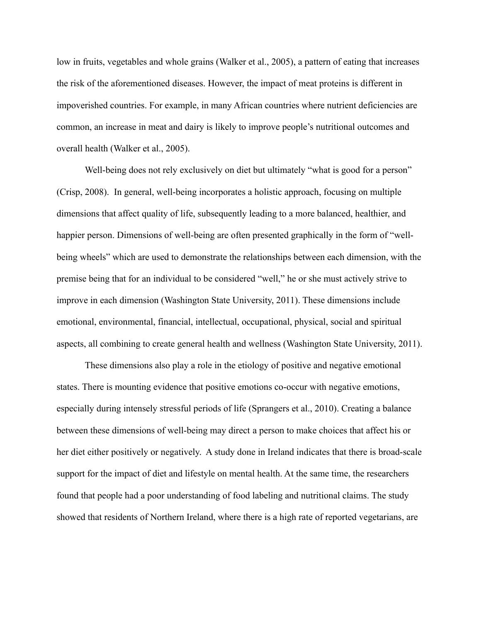low in fruits, vegetables and whole grains (Walker et al., 2005), a pattern of eating that increases the risk of the aforementioned diseases. However, the impact of meat proteins is different in impoverished countries. For example, in many African countries where nutrient deficiencies are common, an increase in meat and dairy is likely to improve people's nutritional outcomes and overall health (Walker et al., 2005).

Well-being does not rely exclusively on diet but ultimately "what is good for a person" (Crisp, 2008). In general, well-being incorporates a holistic approach, focusing on multiple dimensions that affect quality of life, subsequently leading to a more balanced, healthier, and happier person. Dimensions of well-being are often presented graphically in the form of "wellbeing wheels" which are used to demonstrate the relationships between each dimension, with the premise being that for an individual to be considered "well," he or she must actively strive to improve in each dimension (Washington State University, 2011). These dimensions include emotional, environmental, financial, intellectual, occupational, physical, social and spiritual aspects, all combining to create general health and wellness (Washington State University, 2011).

These dimensions also play a role in the etiology of positive and negative emotional states. There is mounting evidence that positive emotions co-occur with negative emotions, especially during intensely stressful periods of life (Sprangers et al., 2010). Creating a balance between these dimensions of well-being may direct a person to make choices that affect his or her diet either positively or negatively. A study done in Ireland indicates that there is broad-scale support for the impact of diet and lifestyle on mental health. At the same time, the researchers found that people had a poor understanding of food labeling and nutritional claims. The study showed that residents of Northern Ireland, where there is a high rate of reported vegetarians, are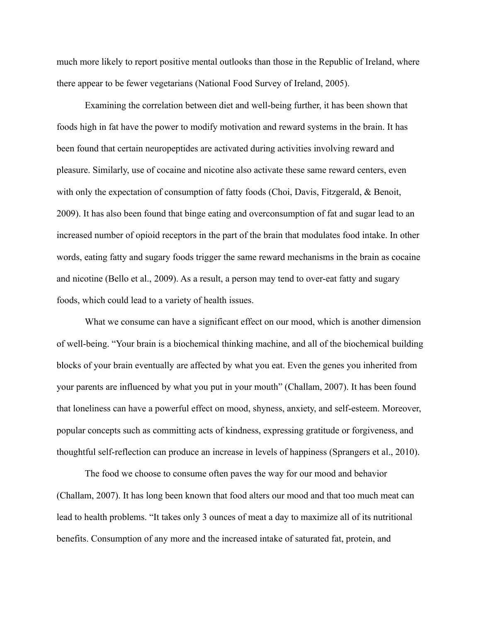much more likely to report positive mental outlooks than those in the Republic of Ireland, where there appear to be fewer vegetarians (National Food Survey of Ireland, 2005).

Examining the correlation between diet and well-being further, it has been shown that foods high in fat have the power to modify motivation and reward systems in the brain. It has been found that certain neuropeptides are activated during activities involving reward and pleasure. Similarly, use of cocaine and nicotine also activate these same reward centers, even with only the expectation of consumption of fatty foods (Choi, Davis, Fitzgerald, & Benoit, 2009). It has also been found that binge eating and overconsumption of fat and sugar lead to an increased number of opioid receptors in the part of the brain that modulates food intake. In other words, eating fatty and sugary foods trigger the same reward mechanisms in the brain as cocaine and nicotine (Bello et al., 2009). As a result, a person may tend to over-eat fatty and sugary foods, which could lead to a variety of health issues.

What we consume can have a significant effect on our mood, which is another dimension of well-being. "Your brain is a biochemical thinking machine, and all of the biochemical building blocks of your brain eventually are affected by what you eat. Even the genes you inherited from your parents are influenced by what you put in your mouth" (Challam, 2007). It has been found that loneliness can have a powerful effect on mood, shyness, anxiety, and self-esteem. Moreover, popular concepts such as committing acts of kindness, expressing gratitude or forgiveness, and thoughtful self-reflection can produce an increase in levels of happiness (Sprangers et al., 2010).

The food we choose to consume often paves the way for our mood and behavior (Challam, 2007). It has long been known that food alters our mood and that too much meat can lead to health problems. "It takes only 3 ounces of meat a day to maximize all of its nutritional benefits. Consumption of any more and the increased intake of saturated fat, protein, and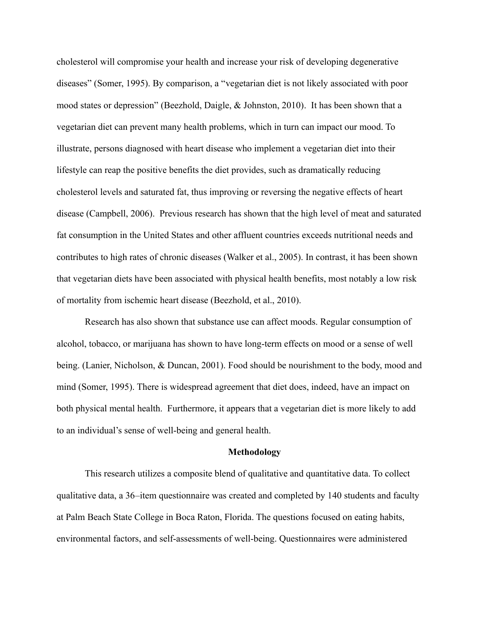cholesterol will compromise your health and increase your risk of developing degenerative diseases" (Somer, 1995). By comparison, a "vegetarian diet is not likely associated with poor mood states or depression" (Beezhold, Daigle, & Johnston, 2010). It has been shown that a vegetarian diet can prevent many health problems, which in turn can impact our mood. To illustrate, persons diagnosed with heart disease who implement a vegetarian diet into their lifestyle can reap the positive benefits the diet provides, such as dramatically reducing cholesterol levels and saturated fat, thus improving or reversing the negative effects of heart disease (Campbell, 2006). Previous research has shown that the high level of meat and saturated fat consumption in the United States and other affluent countries exceeds nutritional needs and contributes to high rates of chronic diseases (Walker et al., 2005). In contrast, it has been shown that vegetarian diets have been associated with physical health benefits, most notably a low risk of mortality from ischemic heart disease (Beezhold, et al., 2010).

Research has also shown that substance use can affect moods. Regular consumption of alcohol, tobacco, or marijuana has shown to have long-term effects on mood or a sense of well being. (Lanier, Nicholson, & Duncan, 2001). Food should be nourishment to the body, mood and mind (Somer, 1995). There is widespread agreement that diet does, indeed, have an impact on both physical mental health. Furthermore, it appears that a vegetarian diet is more likely to add to an individual's sense of well-being and general health.

#### **Methodology**

This research utilizes a composite blend of qualitative and quantitative data. To collect qualitative data, a 36‒item questionnaire was created and completed by 140 students and faculty at Palm Beach State College in Boca Raton, Florida. The questions focused on eating habits, environmental factors, and self-assessments of well-being. Questionnaires were administered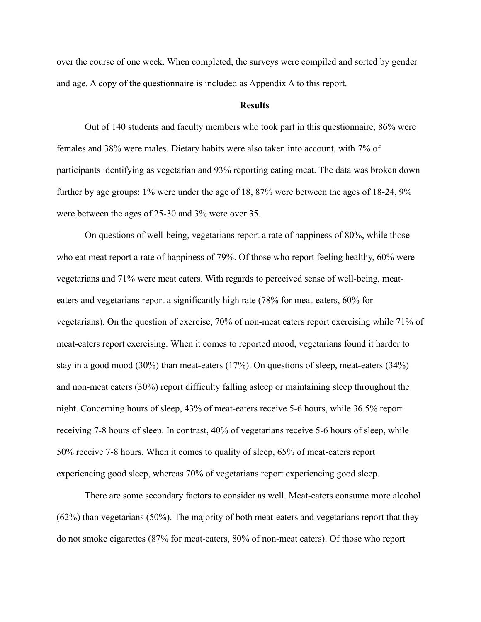over the course of one week. When completed, the surveys were compiled and sorted by gender and age. A copy of the questionnaire is included as Appendix A to this report.

#### **Results**

Out of 140 students and faculty members who took part in this questionnaire, 86% were females and 38% were males. Dietary habits were also taken into account, with 7% of participants identifying as vegetarian and 93% reporting eating meat. The data was broken down further by age groups: 1% were under the age of 18, 87% were between the ages of 18-24, 9% were between the ages of 25-30 and 3% were over 35.

On questions of well-being, vegetarians report a rate of happiness of 80%, while those who eat meat report a rate of happiness of 79%. Of those who report feeling healthy, 60% were vegetarians and 71% were meat eaters. With regards to perceived sense of well-being, meateaters and vegetarians report a significantly high rate (78% for meat-eaters, 60% for vegetarians). On the question of exercise, 70% of non-meat eaters report exercising while 71% of meat-eaters report exercising. When it comes to reported mood, vegetarians found it harder to stay in a good mood (30%) than meat-eaters (17%). On questions of sleep, meat-eaters (34%) and non-meat eaters (30%) report difficulty falling asleep or maintaining sleep throughout the night. Concerning hours of sleep, 43% of meat-eaters receive 5-6 hours, while 36.5% report receiving 7-8 hours of sleep. In contrast, 40% of vegetarians receive 5-6 hours of sleep, while 50% receive 7-8 hours. When it comes to quality of sleep, 65% of meat-eaters report experiencing good sleep, whereas 70% of vegetarians report experiencing good sleep.

There are some secondary factors to consider as well. Meat-eaters consume more alcohol (62%) than vegetarians (50%). The majority of both meat-eaters and vegetarians report that they do not smoke cigarettes (87% for meat-eaters, 80% of non-meat eaters). Of those who report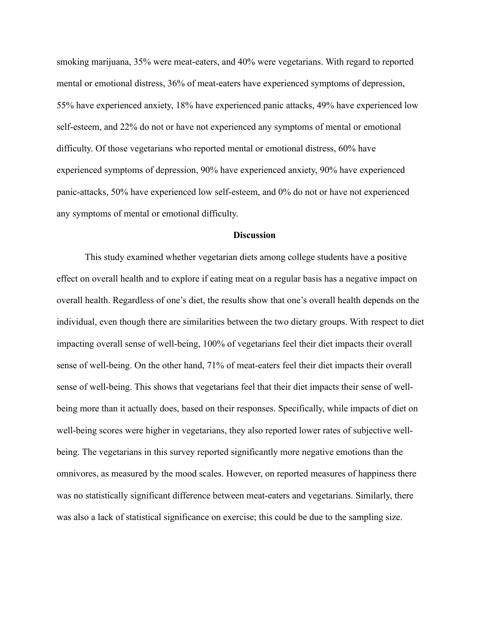smoking marijuana, 35% were meat-eaters, and 40% were vegetarians. With regard to reported mental or emotional distress, 36% of meat-eaters have experienced symptoms of depression, 55% have experienced anxiety, 18% have experienced panic attacks, 49% have experienced low self-esteem, and 22% do not or have not experienced any symptoms of mental or emotional difficulty. Of those vegetarians who reported mental or emotional distress, 60% have experienced symptoms of depression, 90% have experienced anxiety, 90% have experienced panic-attacks, 50% have experienced low self-esteem, and 0% do not or have not experienced any symptoms of mental or emotional difficulty.

#### **Discussion**

This study examined whether vegetarian diets among college students have a positive effect on overall health and to explore if eating meat on a regular basis has a negative impact on overall health. Regardless of one's diet, the results show that one's overall health depends on the individual, even though there are similarities between the two dietary groups. With respect to diet impacting overall sense of well-being, 100% of vegetarians feel their diet impacts their overall sense of well-being. On the other hand, 71% of meat-eaters feel their diet impacts their overall sense of well-being. This shows that vegetarians feel that their diet impacts their sense of wellbeing more than it actually does, based on their responses. Specifically, while impacts of diet on well-being scores were higher in vegetarians, they also reported lower rates of subjective wellbeing. The vegetarians in this survey reported significantly more negative emotions than the omnivores, as measured by the mood scales. However, on reported measures of happiness there was no statistically significant difference between meat-eaters and vegetarians. Similarly, there was also a lack of statistical significance on exercise; this could be due to the sampling size.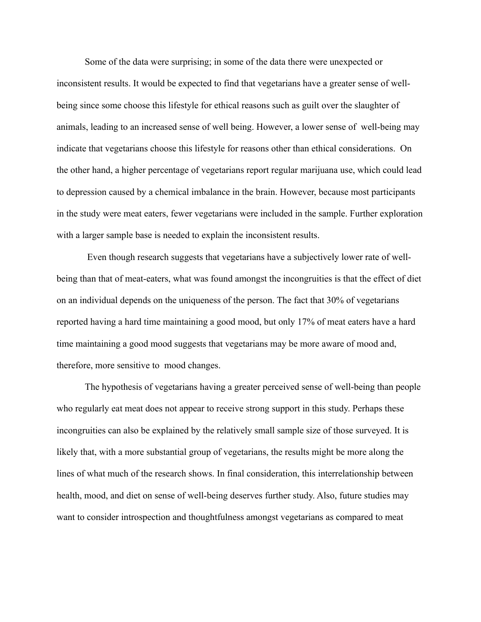Some of the data were surprising; in some of the data there were unexpected or inconsistent results. It would be expected to find that vegetarians have a greater sense of wellbeing since some choose this lifestyle for ethical reasons such as guilt over the slaughter of animals, leading to an increased sense of well being. However, a lower sense of well-being may indicate that vegetarians choose this lifestyle for reasons other than ethical considerations. On the other hand, a higher percentage of vegetarians report regular marijuana use, which could lead to depression caused by a chemical imbalance in the brain. However, because most participants in the study were meat eaters, fewer vegetarians were included in the sample. Further exploration with a larger sample base is needed to explain the inconsistent results.

 Even though research suggests that vegetarians have a subjectively lower rate of wellbeing than that of meat-eaters, what was found amongst the incongruities is that the effect of diet on an individual depends on the uniqueness of the person. The fact that 30% of vegetarians reported having a hard time maintaining a good mood, but only 17% of meat eaters have a hard time maintaining a good mood suggests that vegetarians may be more aware of mood and, therefore, more sensitive to mood changes.

The hypothesis of vegetarians having a greater perceived sense of well-being than people who regularly eat meat does not appear to receive strong support in this study. Perhaps these incongruities can also be explained by the relatively small sample size of those surveyed. It is likely that, with a more substantial group of vegetarians, the results might be more along the lines of what much of the research shows. In final consideration, this interrelationship between health, mood, and diet on sense of well-being deserves further study. Also, future studies may want to consider introspection and thoughtfulness amongst vegetarians as compared to meat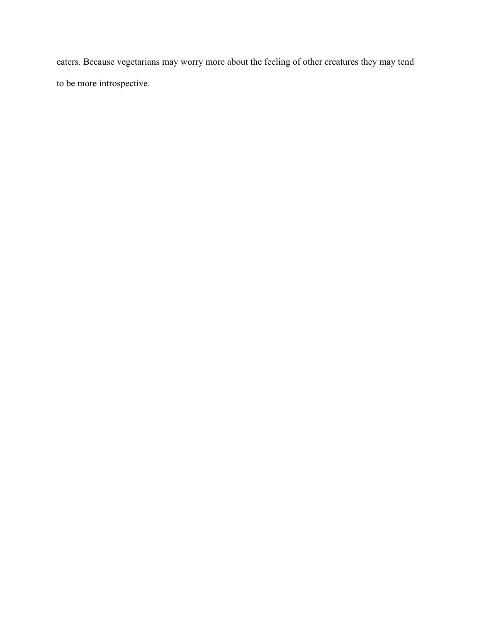eaters. Because vegetarians may worry more about the feeling of other creatures they may tend to be more introspective.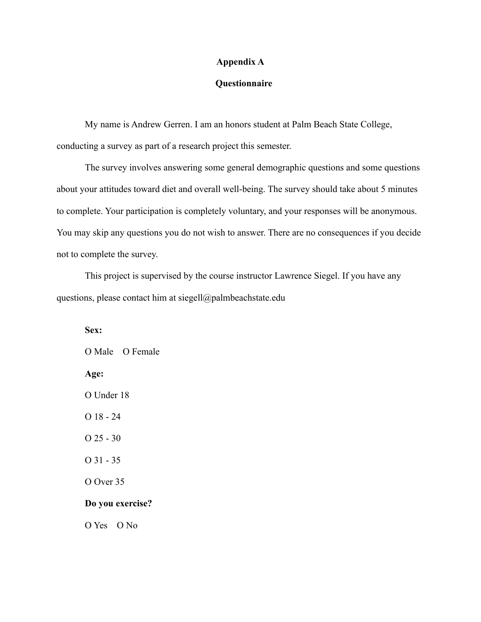## **Appendix A**

## **Questionnaire**

My name is Andrew Gerren. I am an honors student at Palm Beach State College, conducting a survey as part of a research project this semester.

The survey involves answering some general demographic questions and some questions about your attitudes toward diet and overall well-being. The survey should take about 5 minutes to complete. Your participation is completely voluntary, and your responses will be anonymous. You may skip any questions you do not wish to answer. There are no consequences if you decide not to complete the survey.

This project is supervised by the course instructor Lawrence Siegel. If you have any questions, please contact him at siegell@palmbeachstate.edu

**Sex:**  O Male Ο Female **Age:** O Under 18 O 18 - 24 O 25 - 30 O 31 - 35 O Over 35 **Do you exercise?** O Yes O No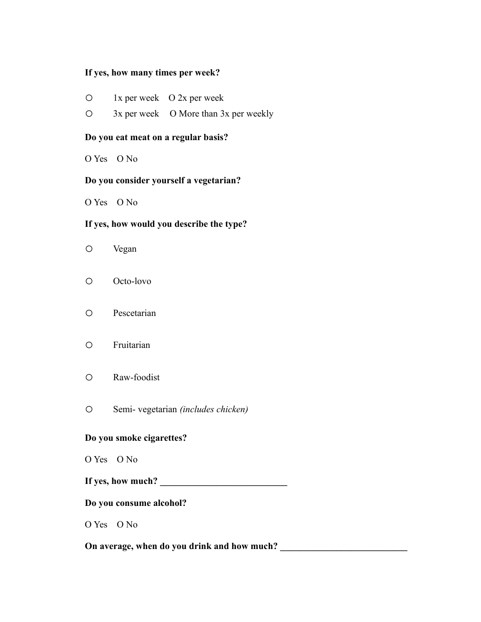## **If yes, how many times per week?**

- o 1x per week O 2x per week
- o 3x per week O More than 3x per weekly

## **Do you eat meat on a regular basis?**

O Yes O No

# **Do you consider yourself a vegetarian?**

O Yes O No

## **If yes, how would you describe the type?**

- o Vegan
- o Octo-lovo
- o Pescetarian
- o Fruitarian
- o Raw-foodist
- o Semi- vegetarian *(includes chicken)*

## **Do you smoke cigarettes?**

- O Yes O No
- If yes, how much?

#### **Do you consume alcohol?**

O Yes O No

**On average, when do you drink and how much? \_\_\_\_\_\_\_\_\_\_\_\_\_\_\_\_\_\_\_\_\_\_\_\_\_\_\_**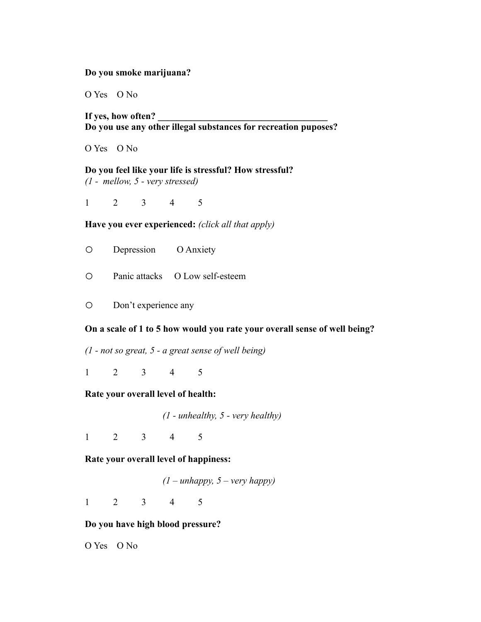#### **Do you smoke marijuana?**

O Yes O No

If yes, how often? **Do you use any other illegal substances for recreation puposes?**

O Yes O No

**Do you feel like your life is stressful? How stressful?** *(1 - mellow, 5 - very stressed)*

1 2 3 4 5

**Have you ever experienced:** *(click all that apply)*

o Depression O Anxiety

o Panic attacks O Low self-esteem

o Don't experience any

#### **On a scale of 1 to 5 how would you rate your overall sense of well being?**

*(1 - not so great, 5 - a great sense of well being)*

1 2 3 4 5

#### **Rate your overall level of health:**

*(1 - unhealthy, 5 - very healthy)*

1 2 3 4 5

**Rate your overall level of happiness:**

*(1 – unhappy, 5 – very happy)*

1 2 3 4 5

## **Do you have high blood pressure?**

O Yes O No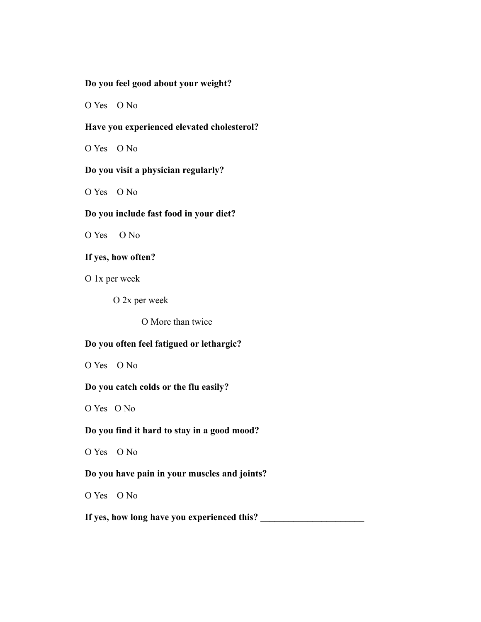## **Do you feel good about your weight?**

O Yes O No

## **Have you experienced elevated cholesterol?**

O Yes O No

## **Do you visit a physician regularly?**

O Yes O No

## **Do you include fast food in your diet?**

O Yes O No

# **If yes, how often?**

O 1x per week

O 2x per week

O More than twice

# **Do you often feel fatigued or lethargic?**

O Yes O No

## **Do you catch colds or the flu easily?**

O Yes O No

## **Do you find it hard to stay in a good mood?**

O Yes O No

## **Do you have pain in your muscles and joints?**

O Yes O No

If yes, how long have you experienced this?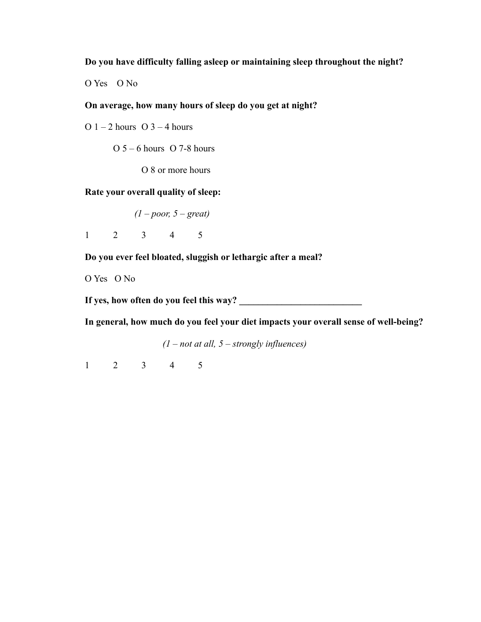**Do you have difficulty falling asleep or maintaining sleep throughout the night?**

O Yes O No

# **On average, how many hours of sleep do you get at night?**

O  $1 - 2$  hours O  $3 - 4$  hours

 $O 5 - 6$  hours  $O 7-8$  hours

O 8 or more hours

**Rate your overall quality of sleep:**

*(1 – poor, 5 – great)*

1 2 3 4 5

**Do you ever feel bloated, sluggish or lethargic after a meal?**

O Yes O No

If yes, how often do you feel this way?

**In general, how much do you feel your diet impacts your overall sense of well-being?**

*(1 – not at all, 5 – strongly influences)*

1 2 3 4 5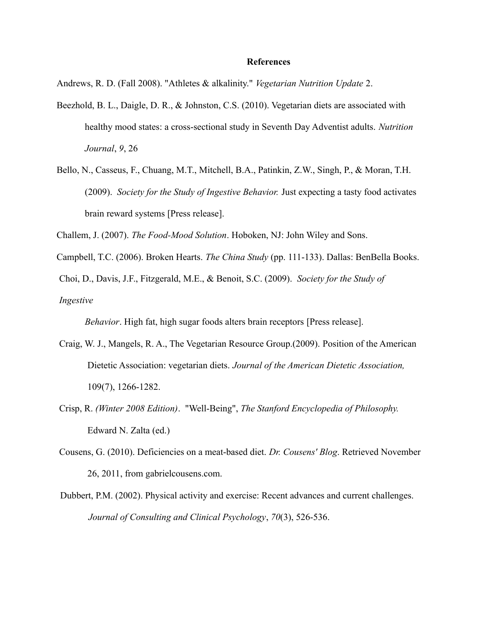#### **References**

Andrews, R. D. (Fall 2008). "Athletes & alkalinity." *Vegetarian Nutrition Update* 2.

- Beezhold, B. L., Daigle, D. R., & Johnston, C.S. (2010). Vegetarian diets are associated with healthy mood states: a cross-sectional study in Seventh Day Adventist adults. *Nutrition Journal*, *9*, 26
- Bello, N., Casseus, F., Chuang, M.T., Mitchell, B.A., Patinkin, Z.W., Singh, P., & Moran, T.H. (2009). *Society for the Study of Ingestive Behavior.* Just expecting a tasty food activates brain reward systems [Press release].

Challem, J. (2007). *The Food-Mood Solution*. Hoboken, NJ: John Wiley and Sons.

Campbell, T.C. (2006). Broken Hearts. *The China Study* (pp. 111-133). Dallas: BenBella Books.

Choi, D., Davis, J.F., Fitzgerald, M.E., & Benoit, S.C. (2009). *Society for the Study of* 

*Ingestive* 

*Behavior*. High fat, high sugar foods alters brain receptors [Press release].

- Craig, W. J., Mangels, R. A., The Vegetarian Resource Group.(2009). Position of the American Dietetic Association: vegetarian diets. *Journal of the American Dietetic Association,*  109(7), 1266-1282.
- Crisp, R. *(Winter 2008 Edition)*. "Well-Being", *The Stanford Encyclopedia of Philosophy.*  Edward N. Zalta (ed.)
- Cousens, G. (2010). Deficiencies on a meat-based diet. *Dr. Cousens' Blog*. Retrieved November 26, 2011, from gabrielcousens.com.
- Dubbert, P.M. (2002). Physical activity and exercise: Recent advances and current challenges. *Journal of Consulting and Clinical Psychology*, *70*(3), 526-536.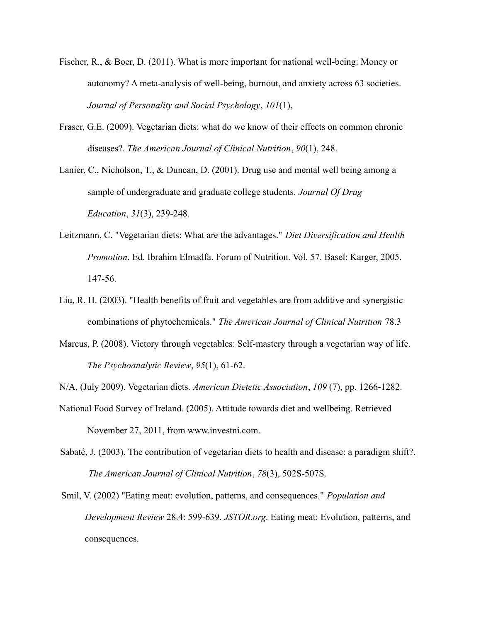- Fischer, R., & Boer, D. (2011). What is more important for national well-being: Money or autonomy? A meta-analysis of well-being, burnout, and anxiety across 63 societies. *Journal of Personality and Social Psychology*, *101*(1),
- Fraser, G.E. (2009). Vegetarian diets: what do we know of their effects on common chronic diseases?. *The American Journal of Clinical Nutrition*, *90*(1), 248.
- Lanier, C., Nicholson, T., & Duncan, D. (2001). Drug use and mental well being among a sample of undergraduate and graduate college students. *Journal Of Drug Education*, *31*(3), 239-248.
- Leitzmann, C. "Vegetarian diets: What are the advantages." *Diet Diversification and Health Promotion*. Ed. Ibrahim Elmadfa. Forum of Nutrition. Vol. 57. Basel: Karger, 2005. 147-56.
- Liu, R. H. (2003). "Health benefits of fruit and vegetables are from additive and synergistic combinations of phytochemicals." *The American Journal of Clinical Nutrition* 78.3
- Marcus, P. (2008). Victory through vegetables: Self-mastery through a vegetarian way of life. *The Psychoanalytic Review*, *95*(1), 61-62.
- N/A, (July 2009). Vegetarian diets. *American Dietetic Association*, *109* (7), pp. 1266-1282.
- National Food Survey of Ireland. (2005). Attitude towards diet and wellbeing. Retrieved November 27, 2011, from www.investni.com.
- Sabaté, J. (2003). The contribution of vegetarian diets to health and disease: a paradigm shift?. *The American Journal of Clinical Nutrition*, *78*(3), 502S-507S.
- Smil, V. (2002) "Eating meat: evolution, patterns, and consequences." *Population and Development Review* 28.4: 599-639. *JSTOR.org*. Eating meat: Evolution, patterns, and consequences.